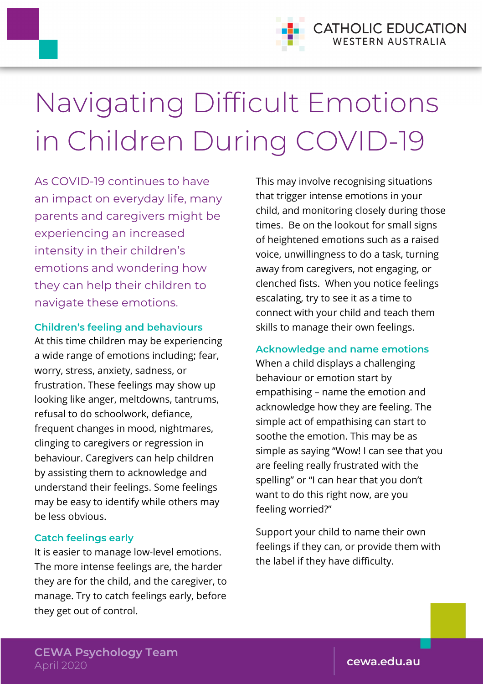

# Navigating Difficult Emotions in Children During COVID-19

As COVID-19 continues to have an impact on everyday life, many parents and caregivers might be experiencing an increased intensity in their children's emotions and wondering how they can help their children to navigate these emotions.

### **Children's feeling and behaviours**

At this time children may be experiencing a wide range of emotions including; fear, worry, stress, anxiety, sadness, or frustration. These feelings may show up looking like anger, meltdowns, tantrums, refusal to do schoolwork, defiance, frequent changes in mood, nightmares, clinging to caregivers or regression in behaviour. Caregivers can help children by assisting them to acknowledge and understand their feelings. Some feelings may be easy to identify while others may be less obvious.

## **Catch feelings early**

It is easier to manage low-level emotions. The more intense feelings are, the harder they are for the child, and the caregiver, to manage. Try to catch feelings early, before they get out of control.

This may involve recognising situations that trigger intense emotions in your child, and monitoring closely during those times. Be on the lookout for small signs of heightened emotions such as a raised voice, unwillingness to do a task, turning away from caregivers, not engaging, or clenched fists. When you notice feelings escalating, try to see it as a time to connect with your child and teach them skills to manage their own feelings.

## **Acknowledge and name emotions**

When a child displays a challenging behaviour or emotion start by empathising – name the emotion and acknowledge how they are feeling. The simple act of empathising can start to soothe the emotion. This may be as simple as saying "Wow! I can see that you are feeling really frustrated with the spelling" or "I can hear that you don't want to do this right now, are you feeling worried?"

Support your child to name their own feelings if they can, or provide them with the label if they have difficulty.